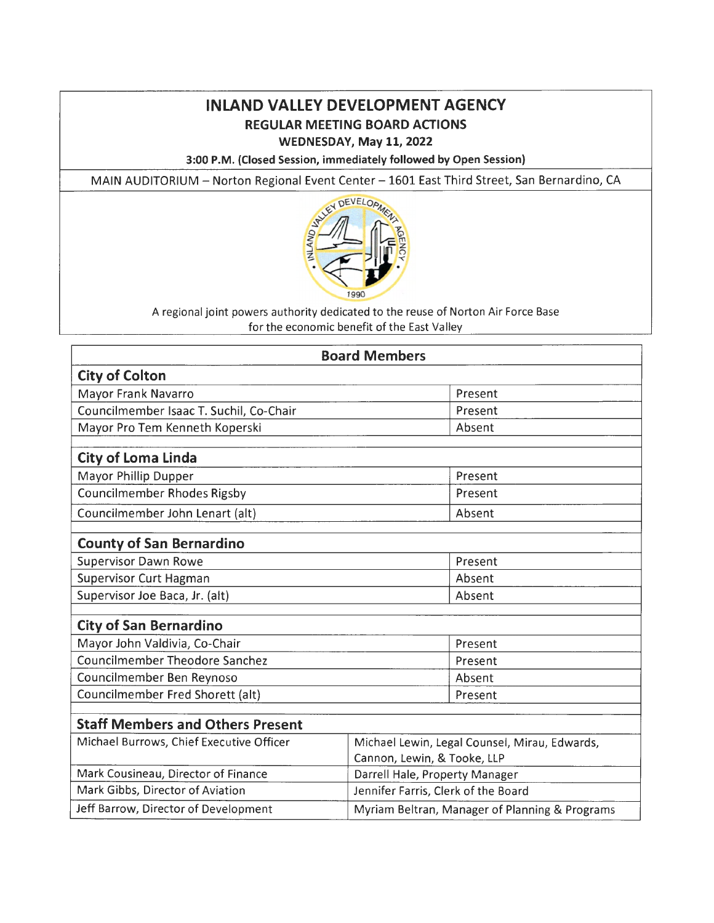# **INLAND VALLEY DEVELOPMENT AGENCY REGULAR MEETING BOARD ACTIONS**

### **WEDNESDAY, May 11, 2022**

**3:00 P.M. (Closed Session, immediately followed by Open Session)** 

MAIN AUDITORIUM - Norton Regional Event Center - 1601 East Third Street, San Bernardino, CA



A regional joint powers authority dedicated to the reuse of Norton Air Force Base for the economic benefit of the East Valley

| <b>Board Members</b>                     |                                                                              |  |  |  |
|------------------------------------------|------------------------------------------------------------------------------|--|--|--|
| <b>City of Colton</b>                    |                                                                              |  |  |  |
| Mayor Frank Navarro                      | Present                                                                      |  |  |  |
| Councilmember Isaac T. Suchil, Co-Chair  | Present                                                                      |  |  |  |
| Mayor Pro Tem Kenneth Koperski           | Absent                                                                       |  |  |  |
| <b>City of Loma Linda</b>                |                                                                              |  |  |  |
| Mayor Phillip Dupper                     | Present                                                                      |  |  |  |
| <b>Councilmember Rhodes Rigsby</b>       | Present                                                                      |  |  |  |
| Councilmember John Lenart (alt)          | Absent                                                                       |  |  |  |
| <b>County of San Bernardino</b>          |                                                                              |  |  |  |
| <b>Supervisor Dawn Rowe</b>              | Present                                                                      |  |  |  |
| <b>Supervisor Curt Hagman</b>            | Absent                                                                       |  |  |  |
| Supervisor Joe Baca, Jr. (alt)           | Absent                                                                       |  |  |  |
| <b>City of San Bernardino</b>            |                                                                              |  |  |  |
| Mayor John Valdivia, Co-Chair            | Present                                                                      |  |  |  |
| <b>Councilmember Theodore Sanchez</b>    | Present                                                                      |  |  |  |
| Councilmember Ben Reynoso                | Absent                                                                       |  |  |  |
| Councilmember Fred Shorett (alt)         | Present                                                                      |  |  |  |
| <b>Staff Members and Others Present</b>  |                                                                              |  |  |  |
| Michael Burrows, Chief Executive Officer | Michael Lewin, Legal Counsel, Mirau, Edwards,<br>Cannon, Lewin, & Tooke, LLP |  |  |  |
| Mark Cousineau, Director of Finance      | Darrell Hale, Property Manager                                               |  |  |  |
| Mark Gibbs, Director of Aviation         | Jennifer Farris, Clerk of the Board                                          |  |  |  |
| Jeff Barrow, Director of Development     | Myriam Beltran, Manager of Planning & Programs                               |  |  |  |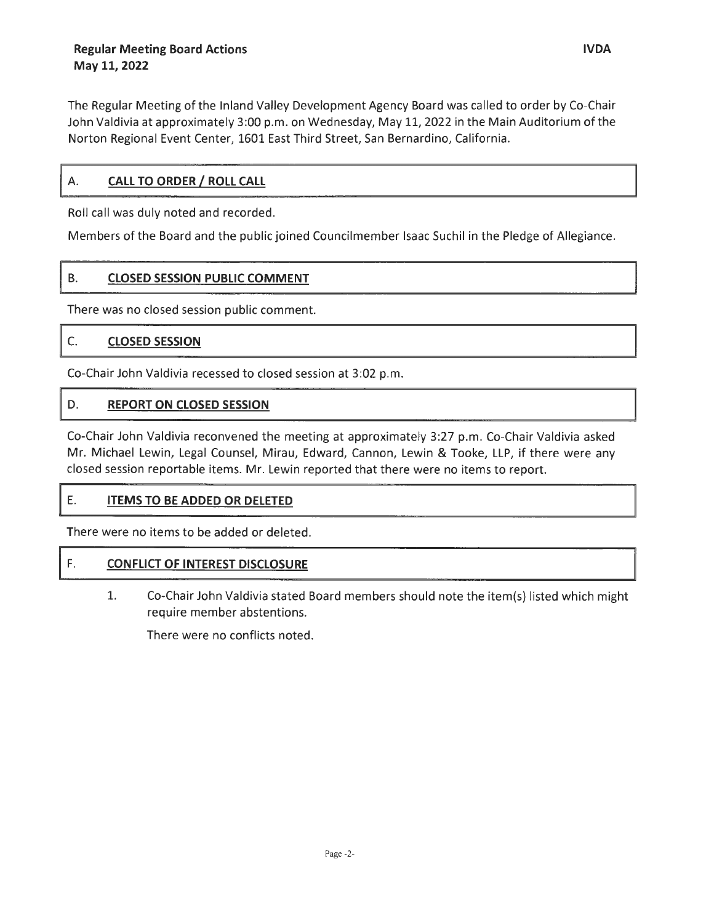The Regular Meeting of the Inland Valley Development Agency Board was called to order by Co-Chair John Valdivia at approximately 3:00 p.m. on Wednesday, May 11, 2022 in the Main Auditorium of the Norton Regional Event Center, 1601 East Third Street, San Bernardino, California.

#### **CALL TO ORDER/ ROLL CALL**  А.

Roll call was duly noted and recorded.

Members of the Board and the public joined Councilmember Isaac Suchil in the Pledge of Allegiance.

# B. **CLOSED SESSION PUBLIC COMMENT**

There was no closed session public comment.

#### C. **CLOSED SESSION**

Co-Chair John Valdivia recessed to closed session at 3:02 p.m.

#### D. **REPORT ON CLOSED SESSION**

Co-Chair John Valdivia reconvened the meeting at approximately 3:27 p.m. Co-Chair Valdivia asked Mr. Michael Lewin, Legal Counsel, Mirau, Edward, Cannon, Lewin & Tooke, **LLP,** if there were any closed session reportable items. Mr. Lewin reported that there were no items to report.

## **E. ITEMS TO BE ADDED OR DELETED**

There were no items to be added or deleted.

### ~ **F. CONFLICT OF INTEREST DISCLOSURE**

1. Co-Chair John Valdivia stated Board members should note the item(s) listed which might require member abstentions.

There were no conflicts noted.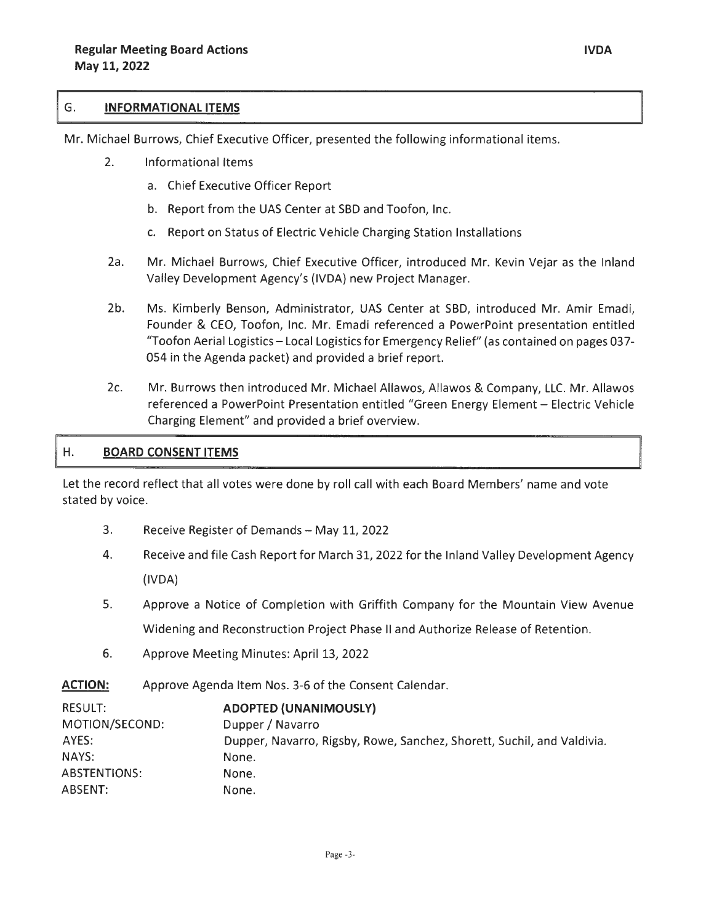#### G. **INFORMATIONAL ITEMS**

Mr. Michael Burrows, Chief Executive Officer, presented the following informational items.

- 2. Informational Items
	- a. Chief Executive Officer Report
	- b. Report from the UAS Center at SBD and Toofon, Inc.
	- c. Report on Status of Electric Vehicle Charging Station Installations
- 2a. Mr. Michael Burrows, Chief Executive Officer, introduced Mr. Kevin Vejar as the Inland Valley Development Agency's (IVDA) new Project Manager.
- 2b. Ms. Kimberly Benson, Administrator, UAS Center at SBD, introduced Mr. Amir Emadi, Founder & CEO, Toofon, Inc. Mr. Emadi referenced a PowerPoint presentation entitled "Toofon Aerial Logistics- Local Logistics for Emergency Relief" (as contained on pages 037- 054 in the Agenda packet) and provided a brief report.
- 2c. Mr. Burrows then introduced Mr. Michael Allawos, Allawos & Company, LLC. Mr. Allawos referenced a PowerPoint Presentation entitled "Green Energy Element - Electric Vehicle Charging Element" and provided a brief overview.

#### Η. **BOARD CONSENT ITEMS**

Let the record reflect that all votes were done by roll call with each Board Members' name and vote stated by voice.

- 3. Receive Register of Demands May 11, 2022
- 4. Receive and file Cash Report for March 31, 2022 for the Inland Valley Development Agency (IVDA)
- 5. Approve a Notice of Completion with Griffith Company for the Mountain View Avenue Widening and Reconstruction Project Phase II and Authorize Release of Retention.
- 6. Approve Meeting Minutes: April 13, 2022
- ACTION: Approve Agenda Item Nos. 3-6 of the Consent Calendar.

| RESULT:        | <b>ADOPTED (UNANIMOUSLY)</b>                                           |
|----------------|------------------------------------------------------------------------|
| MOTION/SECOND: | Dupper / Navarro                                                       |
| AYES:          | Dupper, Navarro, Rigsby, Rowe, Sanchez, Shorett, Suchil, and Valdivia. |
| NAYS:          | None.                                                                  |
| ABSTENTIONS:   | None.                                                                  |
| ABSENT:        | None.                                                                  |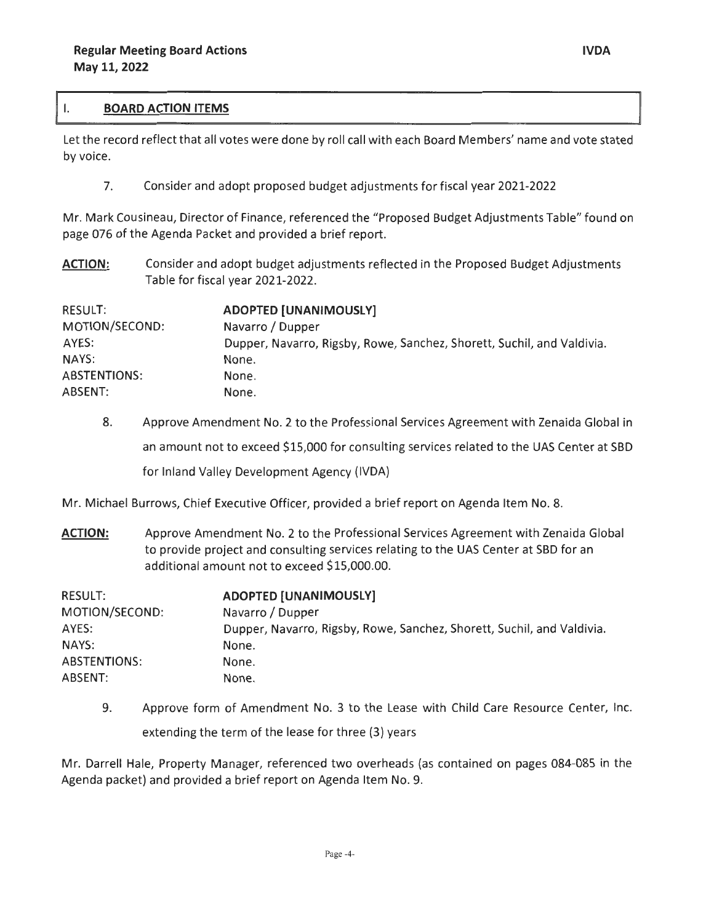#### Ι. **BOARD ACTION ITEMS**

Let the record reflect that all votes were done by roll call with each Board Members' name and vote stated by voice.

7. Consider and adopt proposed budget adjustments for fiscal year 2021-2022

Mr. Mark Cousineau, Director of Finance, referenced the "Proposed Budget Adjustments Table" found on page 076 of the Agenda Packet and provided a brief report.

**ACTION:**  Consider and adopt budget adjustments reflected in the Proposed Budget Adjustments Table for fiscal year 2021-2022.

| RESULT:             | <b>ADOPTED [UNANIMOUSLY]</b>                                           |  |
|---------------------|------------------------------------------------------------------------|--|
| MOTION/SECOND:      | Navarro / Dupper                                                       |  |
| AYES:               | Dupper, Navarro, Rigsby, Rowe, Sanchez, Shorett, Suchil, and Valdivia. |  |
| NAYS:               | None.                                                                  |  |
| <b>ABSTENTIONS:</b> | None.                                                                  |  |
| ABSENT:             | None.                                                                  |  |

8. Approve Amendment No. 2 to the Professional Services Agreement with Zenaida Global in an amount not to exceed \$15,000 for consulting services related to the UAS Center at SBD for Inland Valley Development Agency {IVDA)

Mr. Michael Burrows, Chief Executive Officer, provided a brief report on Agenda Item No. 8.

**ACTION:**  Approve Amendment No. 2 to the Professional Services Agreement with Zenaida Global to provide project and consulting services relating to the UAS Center at SBD for an additional amount not to exceed \$15,000.00.

| RESULT:        | <b>ADOPTED [UNANIMOUSLY]</b>                                           |
|----------------|------------------------------------------------------------------------|
| MOTION/SECOND: | Navarro / Dupper                                                       |
| AYES:          | Dupper, Navarro, Rigsby, Rowe, Sanchez, Shorett, Suchil, and Valdivia. |
| NAYS:          | None.                                                                  |
| ABSTENTIONS:   | None.                                                                  |
| ABSENT:        | None.                                                                  |

9. Approve form of Amendment No. 3 to the Lease with Child Care Resource Center, Inc. extending the term of the lease for three (3) years

Mr. Darrell Hale, Property Manager, referenced two overheads {as contained on pages 084-085 in the Agenda packet) and provided a brief report on Agenda Item No. 9.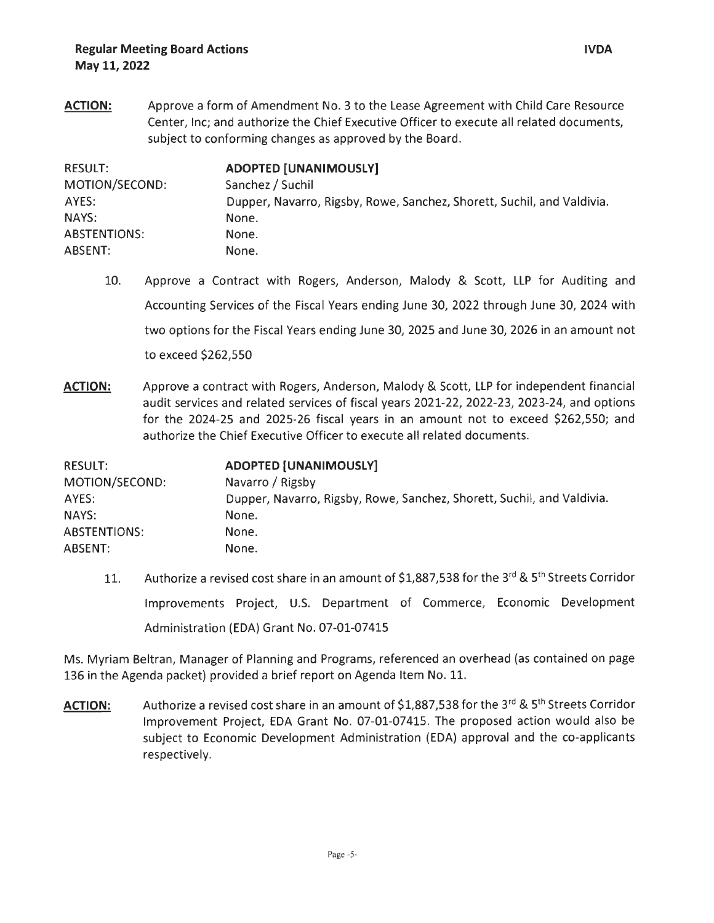**ACTION:**  Approve a form of Amendment No. 3 to the Lease Agreement with Child Care Resource Center, Inc; and authorize the Chief Executive Officer to execute all related documents, subject to conforming changes as approved by the Board.

| RESULT:             | <b>ADOPTED [UNANIMOUSLY]</b>                                           |
|---------------------|------------------------------------------------------------------------|
| MOTION/SECOND:      | Sanchez / Suchil                                                       |
| AYES:               | Dupper, Navarro, Rigsby, Rowe, Sanchez, Shorett, Suchil, and Valdivia. |
| NAYS:               | None.                                                                  |
| <b>ABSTENTIONS:</b> | None.                                                                  |
| ABSENT:             | None.                                                                  |

- 10. Approve a Contract with Rogers, Anderson, Malody & Scott, LLP for Auditing and Accounting Services of the Fiscal Years ending June 30, 2022 through June 30, 2024 with two options for the Fiscal Years ending June 30, 2025 and June 30, 2026 in an amount not to exceed \$262,550
- **ACTION:** Approve a contract with Rogers, Anderson, Malody & Scott, LLP for independent financial audit services and related services of fiscal years 2021-22, 2022-23, 2023-24, and options for the 2024-25 and 2025-26 fiscal years in an amount not to exceed \$262,550; and authorize the Chief Executive Officer to execute all related documents.

| <b>RESULT:</b>      | <b>ADOPTED [UNANIMOUSLY]</b>                                           |
|---------------------|------------------------------------------------------------------------|
| MOTION/SECOND:      | Navarro / Rigsby                                                       |
| AYES:               | Dupper, Navarro, Rigsby, Rowe, Sanchez, Shorett, Suchil, and Valdivia. |
| NAYS:               | None.                                                                  |
| <b>ABSTENTIONS:</b> | None.                                                                  |
| ABSENT:             | None.                                                                  |

11. Authorize a revised cost share in an amount of \$1,887,538 for the 3<sup>rd</sup> & 5<sup>th</sup> Streets Corridor Improvements Project, U.S. Department of Commerce, Economic Development Administration (EDA) Grant No. 07-01-07415

Ms. Myriam Beltran, Manager of Planning and Programs, referenced an overhead (as contained on page 136 in the Agenda packet) provided a brief report on Agenda Item No. 11.

ACTION: Authorize a revised cost share in an amount of \$1,887,538 for the 3<sup>rd</sup> & 5<sup>th</sup> Streets Corridor Improvement Project, EDA Grant No. 07-01-07415. The proposed action would also be subject to Economic Development Administration (EDA) approval and the co-applicants respectively.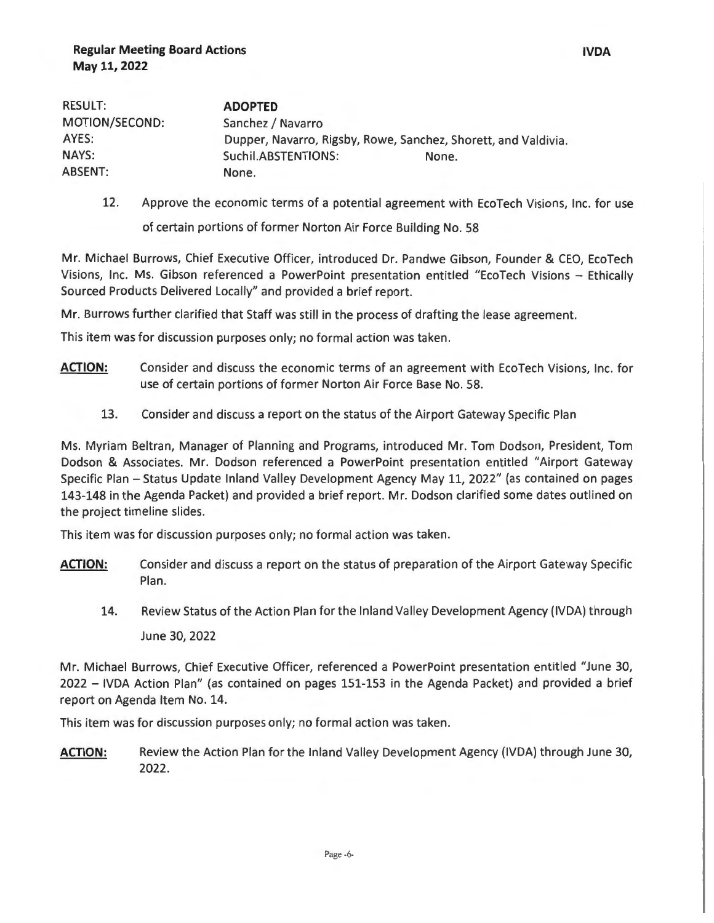| <b>RESULT:</b> | <b>ADOPTED</b>                                                 |       |  |
|----------------|----------------------------------------------------------------|-------|--|
| MOTION/SECOND: | Sanchez / Navarro                                              |       |  |
| AYES:          | Dupper, Navarro, Rigsby, Rowe, Sanchez, Shorett, and Valdivia. |       |  |
| NAYS:          | Suchil.ABSTENTIONS:                                            | None. |  |
| <b>ABSENT:</b> | None.                                                          |       |  |

12. Approve the economic terms of a potential agreement with EcoTech Visions, Inc. for use

of certain portions of former Norton Air Force Building No. 58

Mr. Michael Burrows, Chief Executive Officer, introduced Dr. Pandwe Gibson, Founder & CEO, EcoTech Visions, Inc. Ms. Gibson referenced a PowerPoint presentation entitled "EcoTech Visions - Ethically Sourced Products Delivered Locally" and provided a brief report.

Mr. Burrows further clarified that Staff was still in the process of drafting the lease agreement.

This item was for discussion purposes only; no formal action was taken.

- **ACTION:**  Consider and discuss the economic terms of an agreement with EcoTech Visions, Inc. for use of certain portions of former Norton Air Force Base No. 58.
	- 13. Consider and discuss a report on the status of the Airport Gateway Specific Plan

Ms. Myriam Beltran, Manager of Planning and Programs, introduced Mr. Tom Dodson, President, Tom Dodson & Associates. Mr. Dodson referenced a PowerPoint presentation entitled "Airport Gateway Specific Plan - Status Update Inland Valley Development Agency May 11, 2022" (as contained on pages 143-148 in the Agenda Packet) and provided a brief report. Mr. Dodson clarified some dates outlined on the project timeline slides.

This item was for discussion purposes only; no formal action was taken.

- **ACTION:**  Consider and discuss a report on the status of preparation of the Airport Gateway Specific Plan.
	- 14. Review Status of the Action Plan for the Inland Valley Development Agency (IVDA) through June 30, 2022

Mr. Michael Burrows, Chief Executive Officer, referenced a PowerPoint presentation entitled "June 30, 2022 - IVDA Action Plan" (as contained on pages 151-153 in the Agenda Packet) and provided a brief report on Agenda Item No. 14.

This item was for discussion purposes only; no formal action was taken.

**ACTION:** Review the Action Plan for the Inland Valley Development Agency (IVDA) through June 30, 2022.